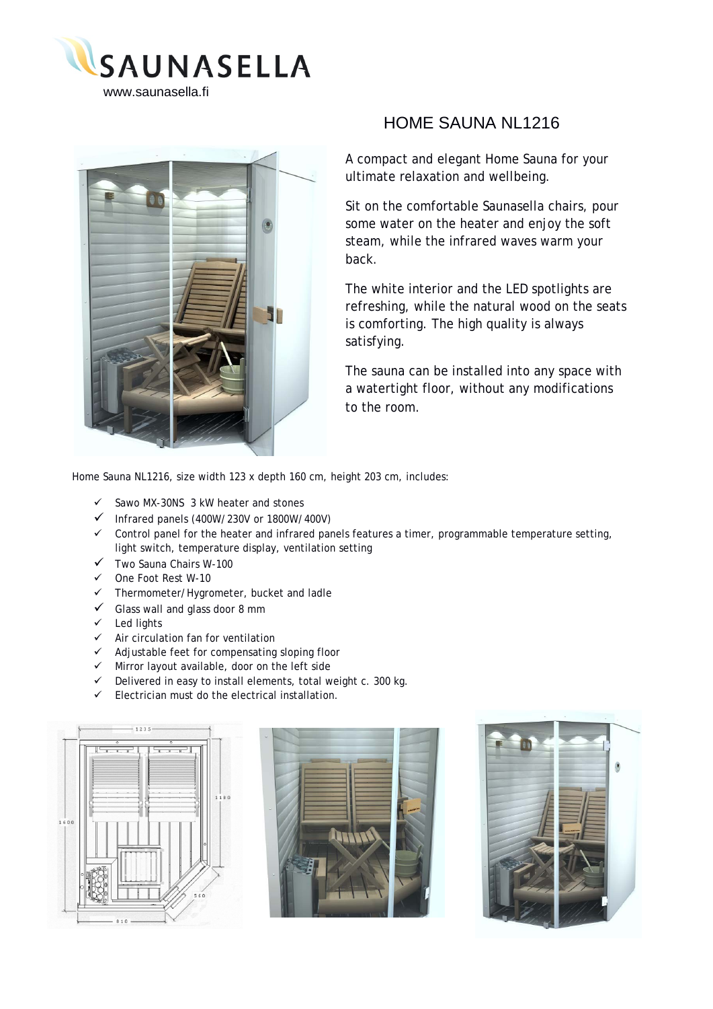



## HOME SAUNA NL1216

A compact and elegant Home Sauna for your ultimate relaxation and wellbeing.

Sit on the comfortable Saunasella chairs, pour some water on the heater and enjoy the soft steam, while the infrared waves warm your back.

The white interior and the LED spotlights are refreshing, while the natural wood on the seats is comforting. The high quality is always satisfying.

The sauna can be installed into any space with a watertight floor, without any modifications to the room.

Home Sauna NL1216, size width 123 x depth 160 cm, height 203 cm, includes:

- Sawo MX-30NS 3 kW heater and stones
- Infrared panels (400W/230V or 1800W/400V)
- $\checkmark$  Control panel for the heater and infrared panels features a timer, programmable temperature setting, light switch, temperature display, ventilation setting
- $\checkmark$  Two Sauna Chairs W-100
- One Foot Rest W-10
- Thermometer/Hygrometer, bucket and ladle
- $\checkmark$  Glass wall and glass door 8 mm
- $\checkmark$  Led lights
- $\checkmark$  Air circulation fan for ventilation
- $\checkmark$  Adjustable feet for compensating sloping floor
- Mirror layout available, door on the left side
- Delivered in easy to install elements, total weight c. 300 kg.
- Electrician must do the electrical installation.